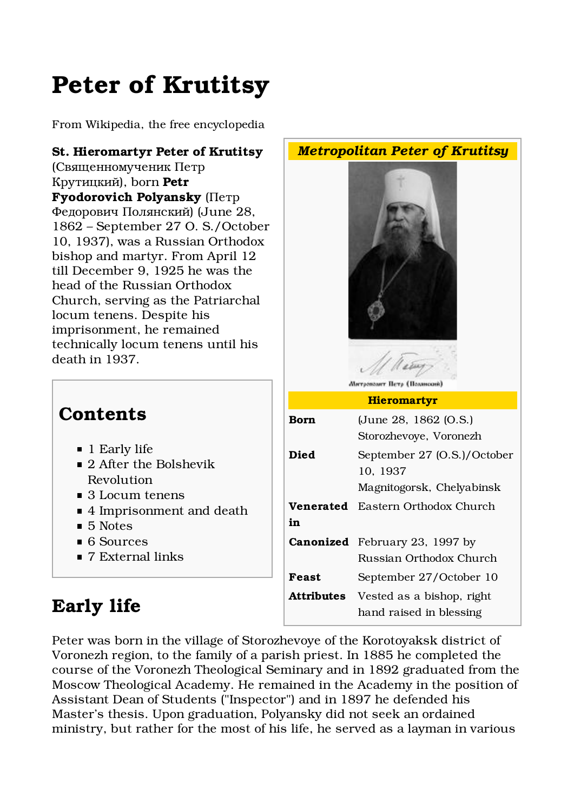# Peter of Krutitsy

From Wikipedia, the free encyclopedia

#### St. Hieromartyr Peter of Krutitsy

(Священномученик Петр Крутицкий), born Petr Fyodorovich Polyansky (Петр Федорович Полянский) (June 28, 1862 – September 27 O. S./October 10, 1937), was a Russian Orthodox bishop and martyr. From April 12 till December 9, 1925 he was the head of the Russian Orthodox Church, serving as the Patriarchal locum tenens. Despite his imprisonment, he remained technically locum tenens until his death in 1937.

#### **Contents**

- 1 Early life
- 2 After the Bolshevik Revolution
- 3 Locum tenens
- 4 Imprisonment and death
- 5 Notes
- 6 Sources
- 7 External links

# Early life





**Американт Пета (Подиский** 

| Born              | (June 28, 1862 (O.S.)<br>Storozhevoye, Voronezh                      |
|-------------------|----------------------------------------------------------------------|
| Died              | September 27 (O.S.)/October<br>10, 1937<br>Magnitogorsk, Chelyabinsk |
|                   |                                                                      |
| Venerated         | Eastern Orthodox Church                                              |
| in                |                                                                      |
|                   | <b>Canonized</b> February 23, 1997 by                                |
|                   | Russian Orthodox Church                                              |
| Feast             | September 27/October 10                                              |
| <b>Attributes</b> | Vested as a bishop, right                                            |
|                   | hand raised in blessing                                              |

Peter was born in the village of Storozhevoye of the Korotoyaksk district of Voronezh region, to the family of a parish priest. In 1885 he completed the course of the Voronezh Theological Seminary and in 1892 graduated from the Moscow Theological Academy. He remained in the Academy in the position of Assistant Dean of Students ("Inspector") and in 1897 he defended his Master's thesis. Upon graduation, Polyansky did not seek an ordained ministry, but rather for the most of his life, he served as a layman in various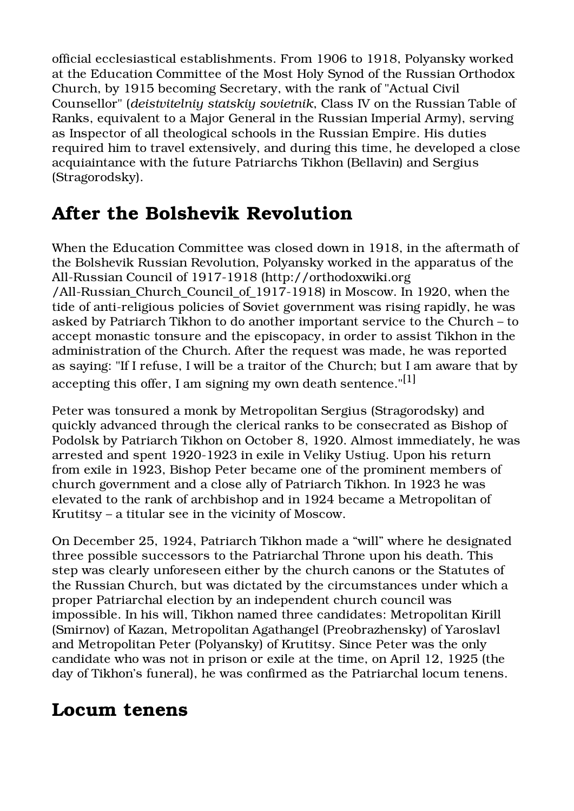official ecclesiastical establishments. From 1906 to 1918, Polyansky worked at the Education Committee of the Most Holy Synod of the Russian Orthodox Church, by 1915 becoming Secretary, with the rank of "Actual Civil Counsellor" (deistvitelniy statskiy sovietnik, Class IV on the Russian Table of Ranks, equivalent to a Major General in the Russian Imperial Army), serving as Inspector of all theological schools in the Russian Empire. His duties required him to travel extensively, and during this time, he developed a close acquiaintance with the future Patriarchs Tikhon (Bellavin) and Sergius (Stragorodsky).

### After the Bolshevik Revolution

When the Education Committee was closed down in 1918, in the aftermath of the Bolshevik Russian Revolution, Polyansky worked in the apparatus of the All-Russian Council of 1917-1918 (http://orthodoxwiki.org /All-Russian\_Church\_Council\_of\_1917-1918) in Moscow. In 1920, when the tide of anti-religious policies of Soviet government was rising rapidly, he was asked by Patriarch Tikhon to do another important service to the Church – to accept monastic tonsure and the episcopacy, in order to assist Tikhon in the administration of the Church. After the request was made, he was reported as saying: "If I refuse, I will be a traitor of the Church; but I am aware that by accepting this offer, I am signing my own death sentence."[1]

Peter was tonsured a monk by Metropolitan Sergius (Stragorodsky) and quickly advanced through the clerical ranks to be consecrated as Bishop of Podolsk by Patriarch Tikhon on October 8, 1920. Almost immediately, he was arrested and spent 1920-1923 in exile in Veliky Ustiug. Upon his return from exile in 1923, Bishop Peter became one of the prominent members of church government and a close ally of Patriarch Tikhon. In 1923 he was elevated to the rank of archbishop and in 1924 became a Metropolitan of Krutitsy – a titular see in the vicinity of Moscow.

On December 25, 1924, Patriarch Tikhon made a "will" where he designated three possible successors to the Patriarchal Throne upon his death. This step was clearly unforeseen either by the church canons or the Statutes of the Russian Church, but was dictated by the circumstances under which a proper Patriarchal election by an independent church council was impossible. In his will, Tikhon named three candidates: Metropolitan Kirill (Smirnov) of Kazan, Metropolitan Agathangel (Preobrazhensky) of Yaroslavl and Metropolitan Peter (Polyansky) of Krutitsy. Since Peter was the only candidate who was not in prison or exile at the time, on April 12, 1925 (the day of Tikhon's funeral), he was confirmed as the Patriarchal locum tenens.

#### Locum tenens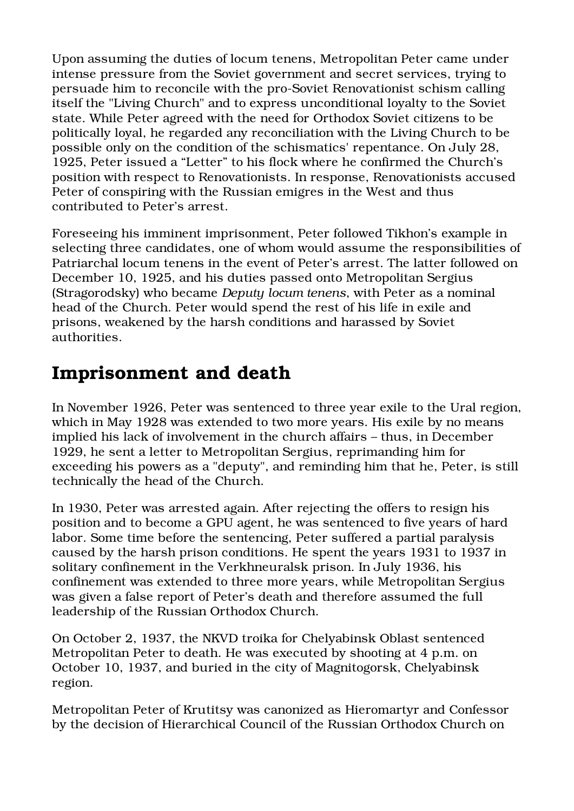Upon assuming the duties of locum tenens, Metropolitan Peter came under intense pressure from the Soviet government and secret services, trying to persuade him to reconcile with the pro-Soviet Renovationist schism calling itself the "Living Church" and to express unconditional loyalty to the Soviet state. While Peter agreed with the need for Orthodox Soviet citizens to be politically loyal, he regarded any reconciliation with the Living Church to be possible only on the condition of the schismatics' repentance. On July 28, 1925, Peter issued a "Letter" to his flock where he confirmed the Church's position with respect to Renovationists. In response, Renovationists accused Peter of conspiring with the Russian emigres in the West and thus contributed to Peter's arrest.

Foreseeing his imminent imprisonment, Peter followed Tikhon's example in selecting three candidates, one of whom would assume the responsibilities of Patriarchal locum tenens in the event of Peter's arrest. The latter followed on December 10, 1925, and his duties passed onto Metropolitan Sergius (Stragorodsky) who became Deputy locum tenens, with Peter as a nominal head of the Church. Peter would spend the rest of his life in exile and prisons, weakened by the harsh conditions and harassed by Soviet authorities.

#### Imprisonment and death

In November 1926, Peter was sentenced to three year exile to the Ural region, which in May 1928 was extended to two more years. His exile by no means implied his lack of involvement in the church affairs – thus, in December 1929, he sent a letter to Metropolitan Sergius, reprimanding him for exceeding his powers as a "deputy", and reminding him that he, Peter, is still technically the head of the Church.

In 1930, Peter was arrested again. After rejecting the offers to resign his position and to become a GPU agent, he was sentenced to five years of hard labor. Some time before the sentencing, Peter suffered a partial paralysis caused by the harsh prison conditions. He spent the years 1931 to 1937 in solitary confinement in the Verkhneuralsk prison. In July 1936, his confinement was extended to three more years, while Metropolitan Sergius was given a false report of Peter's death and therefore assumed the full leadership of the Russian Orthodox Church.

On October 2, 1937, the NKVD troika for Chelyabinsk Oblast sentenced Metropolitan Peter to death. He was executed by shooting at 4 p.m. on October 10, 1937, and buried in the city of Magnitogorsk, Chelyabinsk region.

Metropolitan Peter of Krutitsy was canonized as Hieromartyr and Confessor by the decision of Hierarchical Council of the Russian Orthodox Church on